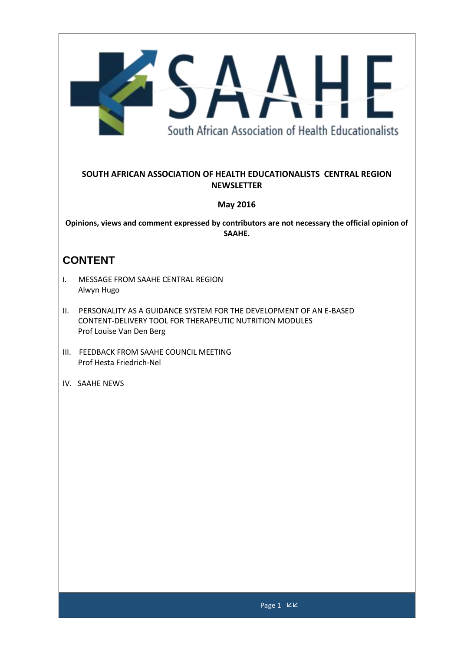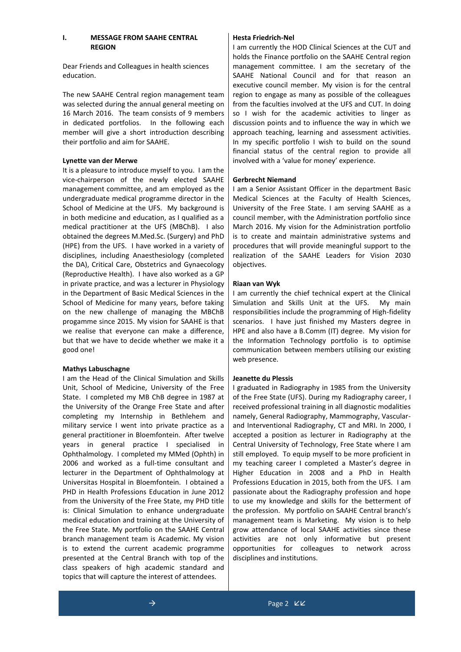## **I. MESSAGE FROM SAAHE CENTRAL REGION**

Dear Friends and Colleagues in health sciences education.

The new SAAHE Central region management team was selected during the annual general meeting on 16 March 2016. The team consists of 9 members in dedicated portfolios. In the following each member will give a short introduction describing their portfolio and aim for SAAHE.

### **Lynette van der Merwe**

It is a pleasure to introduce myself to you. I am the vice-chairperson of the newly elected SAAHE management committee, and am employed as the undergraduate medical programme director in the School of Medicine at the UFS. My background is in both medicine and education, as I qualified as a medical practitioner at the UFS (MBChB). I also obtained the degrees M.Med.Sc. (Surgery) and PhD (HPE) from the UFS. I have worked in a variety of disciplines, including Anaesthesiology (completed the DA), Critical Care, Obstetrics and Gynaecology (Reproductive Health). I have also worked as a GP in private practice, and was a lecturer in Physiology in the Department of Basic Medical Sciences in the School of Medicine for many years, before taking on the new challenge of managing the MBChB progamme since 2015. My vision for SAAHE is that we realise that everyone can make a difference, but that we have to decide whether we make it a good one!

### **Mathys Labuschagne**

I am the Head of the Clinical Simulation and Skills Unit, School of Medicine, University of the Free State. I completed my MB ChB degree in 1987 at the University of the Orange Free State and after completing my Internship in Bethlehem and military service I went into private practice as a general practitioner in Bloemfontein. After twelve years in general practice I specialised in Ophthalmology. I completed my MMed (Ophth) in 2006 and worked as a full-time consultant and lecturer in the Department of Ophthalmology at Universitas Hospital in Bloemfontein. I obtained a PHD in Health Professions Education in June 2012 from the University of the Free State, my PHD title is: Clinical Simulation to enhance undergraduate medical education and training at the University of the Free State. My portfolio on the SAAHE Central branch management team is Academic. My vision is to extend the current academic programme presented at the Central Branch with top of the class speakers of high academic standard and topics that will capture the interest of attendees.

### **Hesta Friedrich-Nel**

I am currently the HOD Clinical Sciences at the CUT and holds the Finance portfolio on the SAAHE Central region management committee. I am the secretary of the SAAHE National Council and for that reason an executive council member. My vision is for the central region to engage as many as possible of the colleagues from the faculties involved at the UFS and CUT. In doing so I wish for the academic activities to linger as discussion points and to influence the way in which we approach teaching, learning and assessment activities. In my specific portfolio I wish to build on the sound financial status of the central region to provide all involved with a 'value for money' experience.

### **Gerbrecht Niemand**

I am a Senior Assistant Officer in the department Basic Medical Sciences at the Faculty of Health Sciences, University of the Free State. I am serving SAAHE as a council member, with the Administration portfolio since March 2016. My vision for the Administration portfolio is to create and maintain administrative systems and procedures that will provide meaningful support to the realization of the SAAHE Leaders for Vision 2030 objectives.

### **Riaan van Wyk**

I am currently the chief technical expert at the Clinical Simulation and Skills Unit at the UFS. My main responsibilities include the programming of High-fidelity scenarios. I have just finished my Masters degree in HPE and also have a B.Comm (IT) degree. My vision for the Information Technology portfolio is to optimise communication between members utilising our existing web presence.

### **Jeanette du Plessis**

I graduated in Radiography in 1985 from the University of the Free State (UFS). During my Radiography career, I received professional training in all diagnostic modalities namely, General Radiography, Mammography, Vascularand Interventional Radiography, CT and MRI. In 2000, I accepted a position as lecturer in Radiography at the Central University of Technology, Free State where I am still employed. To equip myself to be more proficient in my teaching career I completed a Master's degree in Higher Education in 2008 and a PhD in Health Professions Education in 2015, both from the UFS. I am passionate about the Radiography profession and hope to use my knowledge and skills for the betterment of the profession. My portfolio on SAAHE Central branch's management team is Marketing. My vision is to help grow attendance of local SAAHE activities since these activities are not only informative but present opportunities for colleagues to network across disciplines and institutions.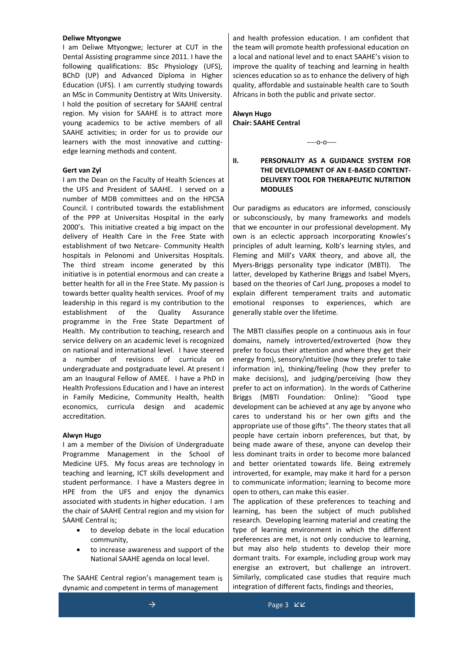#### **Deliwe Mtyongwe**

I am Deliwe Mtyongwe; lecturer at CUT in the Dental Assisting programme since 2011. I have the following qualifications: BSc Physiology (UFS), BChD (UP) and Advanced Diploma in Higher Education (UFS). I am currently studying towards an MSc in Community Dentistry at Wits University. I hold the position of secretary for SAAHE central region. My vision for SAAHE is to attract more young academics to be active members of all SAAHE activities; in order for us to provide our learners with the most innovative and cuttingedge learning methods and content.

#### **Gert van Zyl**

I am the Dean on the Faculty of Health Sciences at the UFS and President of SAAHE. I served on a number of MDB committees and on the HPCSA Council. I contributed towards the establishment of the PPP at Universitas Hospital in the early 2000's. This initiative created a big impact on the delivery of Health Care in the Free State with establishment of two Netcare- Community Health hospitals in Pelonomi and Universitas Hospitals. The third stream income generated by this initiative is in potential enormous and can create a better health for all in the Free State. My passion is towards better quality health services. Proof of my leadership in this regard is my contribution to the establishment of the Quality Assurance programme in the Free State Department of Health. My contribution to teaching, research and service delivery on an academic level is recognized on national and international level. I have steered a number of revisions of curricula on undergraduate and postgraduate level. At present I am an Inaugural Fellow of AMEE. I have a PhD in Health Professions Education and I have an interest in Family Medicine, Community Health, health economics, curricula design and academic accreditation.

#### **Alwyn Hugo**

I am a member of the Division of Undergraduate Programme Management in the School of Medicine UFS. My focus areas are technology in teaching and learning, ICT skills development and student performance. I have a Masters degree in HPE from the UFS and enjoy the dynamics associated with students in higher education. I am the chair of SAAHE Central region and my vision for SAAHE Central is;

- to develop debate in the local education community,
- to increase awareness and support of the National SAAHE agenda on local level.

The SAAHE Central region's management team is dynamic and competent in terms of management

and health profession education. I am confident that the team will promote health professional education on a local and national level and to enact SAAHE's vision to improve the quality of teaching and learning in health sciences education so as to enhance the delivery of high quality, affordable and sustainable health care to South Africans in both the public and private sector.

# **Alwyn Hugo Chair: SAAHE Central**

----o-o----

### **II. PERSONALITY AS A GUIDANCE SYSTEM FOR THE DEVELOPMENT OF AN E-BASED CONTENT-DELIVERY TOOL FOR THERAPEUTIC NUTRITION MODULES**

Our paradigms as educators are informed, consciously or subconsciously, by many frameworks and models that we encounter in our professional development. My own is an eclectic approach incorporating Knowles's principles of adult learning, Kolb's learning styles, and Fleming and Mill's VARK theory, and above all, the Myers-Briggs personality type indicator (MBTI). The latter, developed by Katherine Briggs and Isabel Myers, based on the theories of Carl Jung, proposes a model to explain different temperament traits and automatic emotional responses to experiences, which are generally stable over the lifetime.

The MBTI classifies people on a continuous axis in four domains, namely introverted/extroverted (how they prefer to focus their attention and where they get their energy from), sensory/intuitive (how they prefer to take information in), thinking/feeling (how they prefer to make decisions), and judging/perceiving (how they prefer to act on information). In the words of Catherine Briggs (MBTI Foundation: Online): "Good type development can be achieved at any age by anyone who cares to understand his or her own gifts and the appropriate use of those gifts". The theory states that all people have certain inborn preferences, but that, by being made aware of these, anyone can develop their less dominant traits in order to become more balanced and better orientated towards life. Being extremely introverted, for example, may make it hard for a person to communicate information; learning to become more open to others, can make this easier.

The application of these preferences to teaching and learning, has been the subject of much published research. Developing learning material and creating the type of learning environment in which the different preferences are met, is not only conducive to learning, but may also help students to develop their more dormant traits. For example, including group work may energise an extrovert, but challenge an introvert. Similarly, complicated case studies that require much integration of different facts, findings and theories,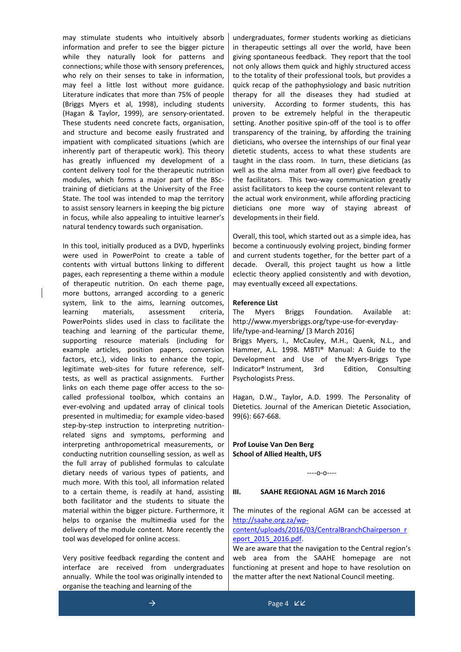may stimulate students who intuitively absorb information and prefer to see the bigger picture while they naturally look for patterns and connections; while those with sensory preferences, who rely on their senses to take in information, may feel a little lost without more guidance. Literature indicates that more than 75% of people (Briggs Myers et al, 1998), including students (Hagan & Taylor, 1999), are sensory-orientated. These students need concrete facts, organisation, and structure and become easily frustrated and impatient with complicated situations (which are inherently part of therapeutic work). This theory has greatly influenced my development of a content delivery tool for the therapeutic nutrition modules, which forms a major part of the BSctraining of dieticians at the University of the Free State. The tool was intended to map the territory to assist sensory learners in keeping the big picture in focus, while also appealing to intuitive learner's natural tendency towards such organisation.

In this tool, initially produced as a DVD, hyperlinks were used in PowerPoint to create a table of contents with virtual buttons linking to different pages, each representing a theme within a module of therapeutic nutrition. On each theme page, more buttons, arranged according to a generic system, link to the aims, learning outcomes, learning materials, assessment criteria, PowerPoints slides used in class to facilitate the teaching and learning of the particular theme, supporting resource materials (including for example articles, position papers, conversion factors, etc.), video links to enhance the topic, legitimate web-sites for future reference, selftests, as well as practical assignments. Further links on each theme page offer access to the socalled professional toolbox, which contains an ever-evolving and updated array of clinical tools presented in multimedia; for example video-based step-by-step instruction to interpreting nutritionrelated signs and symptoms, performing and interpreting anthropometrical measurements, or conducting nutrition counselling session, as well as the full array of published formulas to calculate dietary needs of various types of patients, and much more. With this tool, all information related to a certain theme, is readily at hand, assisting both facilitator and the students to situate the material within the bigger picture. Furthermore, it helps to organise the multimedia used for the delivery of the module content. More recently the tool was developed for online access.

Very positive feedback regarding the content and interface are received from undergraduates annually. While the tool was originally intended to organise the teaching and learning of the

undergraduates, former students working as dieticians in therapeutic settings all over the world, have been giving spontaneous feedback. They report that the tool not only allows them quick and highly structured access to the totality of their professional tools, but provides a quick recap of the pathophysiology and basic nutrition therapy for all the diseases they had studied at university. According to former students, this has proven to be extremely helpful in the therapeutic setting. Another positive spin-off of the tool is to offer transparency of the training, by affording the training dieticians, who oversee the internships of our final year dietetic students, access to what these students are taught in the class room. In turn, these dieticians (as well as the alma mater from all over) give feedback to the facilitators. This two-way communication greatly assist facilitators to keep the course content relevant to the actual work environment, while affording practicing dieticians one more way of staying abreast of developments in their field.

Overall, this tool, which started out as a simple idea, has become a continuously evolving project, binding former and current students together, for the better part of a decade. Overall, this project taught us how a little eclectic theory applied consistently and with devotion, may eventually exceed all expectations.

#### **Reference List**

The Myers Briggs Foundation. Available at: [http://www.myersbriggs.org/type-use-for-everyday](http://www.myersbriggs.org/type-use-for-everyday-life/type-and-learning/)[life/type-and-learning/](http://www.myersbriggs.org/type-use-for-everyday-life/type-and-learning/) [3 March 2016]

Briggs Myers, I., McCauley, M.H., Quenk, N.L., and Hammer, A.L. 1998. MBTI® Manual: A Guide to the Development and Use of the Myers-Briggs Type Indicator® Instrument, 3rd Edition, Consulting Psychologists Press.

Hagan, D.W., Taylor, A.D. 1999. The Personality of Dietetics. Journal of the American Dietetic Association, 99(6): 667-668.

**Prof Louise Van Den Berg School of Allied Health, UFS**

### ----o-o----

#### **III. SAAHE REGIONAL AGM 16 March 2016**

The minutes of the regional AGM can be accessed at [http://saahe.org.za/wp-](http://saahe.org.za/wp-content/uploads/2016/03/CentralBranchChairperson_report_2015_2016.pdf)

### [content/uploads/2016/03/CentralBranchChairperson\\_r](http://saahe.org.za/wp-content/uploads/2016/03/CentralBranchChairperson_report_2015_2016.pdf) [eport\\_2015\\_2016.pdf.](http://saahe.org.za/wp-content/uploads/2016/03/CentralBranchChairperson_report_2015_2016.pdf)

We are aware that the navigation to the Central region's web area from the SAAHE homepage are not functioning at present and hope to have resolution on the matter after the next National Council meeting.